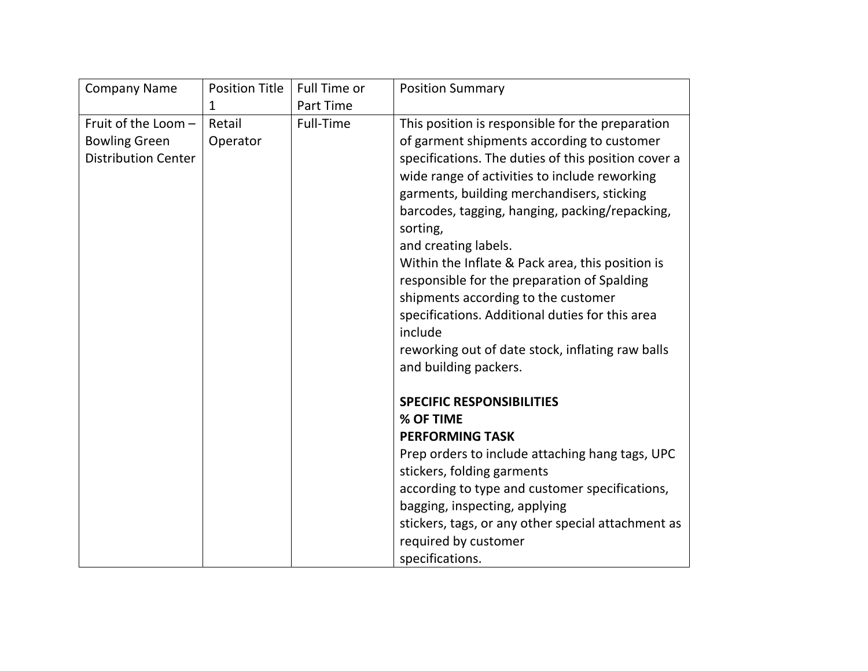| <b>Company Name</b>                                | <b>Position Title</b> | Full Time or | <b>Position Summary</b>                                                                                                                                                                                                                                                                                                                                                                                                                                                                                                                                                     |
|----------------------------------------------------|-----------------------|--------------|-----------------------------------------------------------------------------------------------------------------------------------------------------------------------------------------------------------------------------------------------------------------------------------------------------------------------------------------------------------------------------------------------------------------------------------------------------------------------------------------------------------------------------------------------------------------------------|
|                                                    | 1                     | Part Time    |                                                                                                                                                                                                                                                                                                                                                                                                                                                                                                                                                                             |
| Fruit of the Loom -                                | Retail                | Full-Time    | This position is responsible for the preparation                                                                                                                                                                                                                                                                                                                                                                                                                                                                                                                            |
| <b>Bowling Green</b><br><b>Distribution Center</b> | Operator              |              | of garment shipments according to customer<br>specifications. The duties of this position cover a<br>wide range of activities to include reworking<br>garments, building merchandisers, sticking<br>barcodes, tagging, hanging, packing/repacking,<br>sorting,<br>and creating labels.<br>Within the Inflate & Pack area, this position is<br>responsible for the preparation of Spalding<br>shipments according to the customer<br>specifications. Additional duties for this area<br>include<br>reworking out of date stock, inflating raw balls<br>and building packers. |
|                                                    |                       |              | <b>SPECIFIC RESPONSIBILITIES</b>                                                                                                                                                                                                                                                                                                                                                                                                                                                                                                                                            |
|                                                    |                       |              | % OF TIME                                                                                                                                                                                                                                                                                                                                                                                                                                                                                                                                                                   |
|                                                    |                       |              | <b>PERFORMING TASK</b>                                                                                                                                                                                                                                                                                                                                                                                                                                                                                                                                                      |
|                                                    |                       |              | Prep orders to include attaching hang tags, UPC<br>stickers, folding garments                                                                                                                                                                                                                                                                                                                                                                                                                                                                                               |
|                                                    |                       |              | according to type and customer specifications,                                                                                                                                                                                                                                                                                                                                                                                                                                                                                                                              |
|                                                    |                       |              | bagging, inspecting, applying                                                                                                                                                                                                                                                                                                                                                                                                                                                                                                                                               |
|                                                    |                       |              | stickers, tags, or any other special attachment as                                                                                                                                                                                                                                                                                                                                                                                                                                                                                                                          |
|                                                    |                       |              | required by customer                                                                                                                                                                                                                                                                                                                                                                                                                                                                                                                                                        |
|                                                    |                       |              | specifications.                                                                                                                                                                                                                                                                                                                                                                                                                                                                                                                                                             |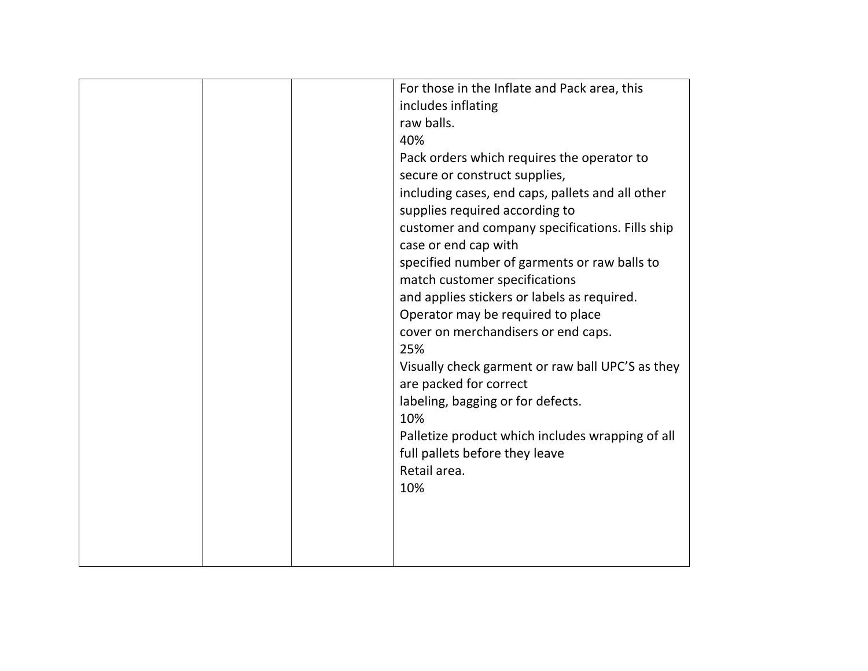| For those in the Inflate and Pack area, this     |
|--------------------------------------------------|
| includes inflating                               |
| raw balls.                                       |
| 40%                                              |
| Pack orders which requires the operator to       |
| secure or construct supplies,                    |
| including cases, end caps, pallets and all other |
| supplies required according to                   |
| customer and company specifications. Fills ship  |
| case or end cap with                             |
| specified number of garments or raw balls to     |
| match customer specifications                    |
| and applies stickers or labels as required.      |
| Operator may be required to place                |
| cover on merchandisers or end caps.              |
| 25%                                              |
| Visually check garment or raw ball UPC'S as they |
| are packed for correct                           |
| labeling, bagging or for defects.                |
| 10%                                              |
| Palletize product which includes wrapping of all |
| full pallets before they leave                   |
| Retail area.                                     |
| 10%                                              |
|                                                  |
|                                                  |
|                                                  |
|                                                  |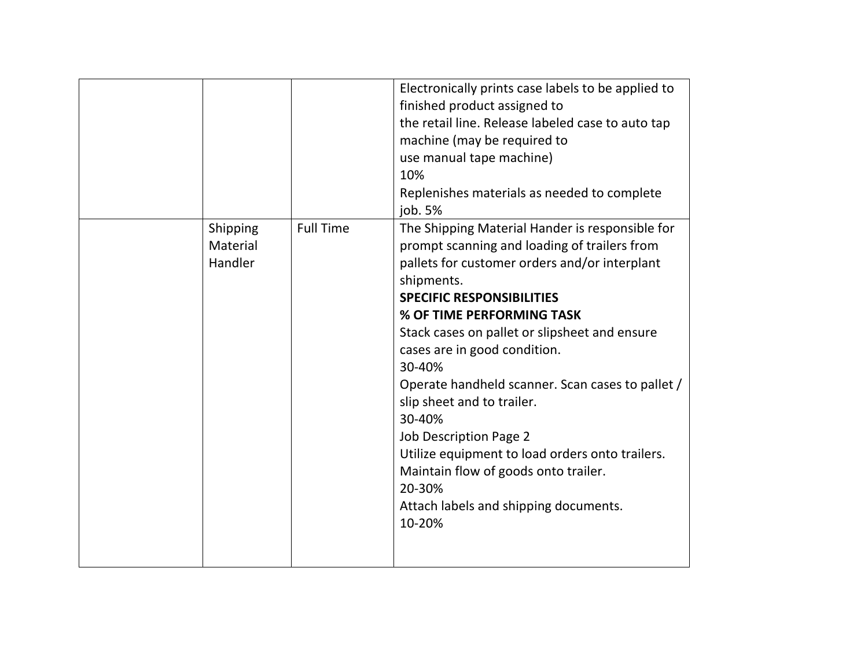|                                 |                  | Electronically prints case labels to be applied to<br>finished product assigned to<br>the retail line. Release labeled case to auto tap<br>machine (may be required to<br>use manual tape machine)<br>10%<br>Replenishes materials as needed to complete<br>job. 5%                                                                                                                                                                                                                                                                                                                                      |
|---------------------------------|------------------|----------------------------------------------------------------------------------------------------------------------------------------------------------------------------------------------------------------------------------------------------------------------------------------------------------------------------------------------------------------------------------------------------------------------------------------------------------------------------------------------------------------------------------------------------------------------------------------------------------|
| Shipping<br>Material<br>Handler | <b>Full Time</b> | The Shipping Material Hander is responsible for<br>prompt scanning and loading of trailers from<br>pallets for customer orders and/or interplant<br>shipments.<br><b>SPECIFIC RESPONSIBILITIES</b><br>% OF TIME PERFORMING TASK<br>Stack cases on pallet or slipsheet and ensure<br>cases are in good condition.<br>30-40%<br>Operate handheld scanner. Scan cases to pallet /<br>slip sheet and to trailer.<br>30-40%<br>Job Description Page 2<br>Utilize equipment to load orders onto trailers.<br>Maintain flow of goods onto trailer.<br>20-30%<br>Attach labels and shipping documents.<br>10-20% |